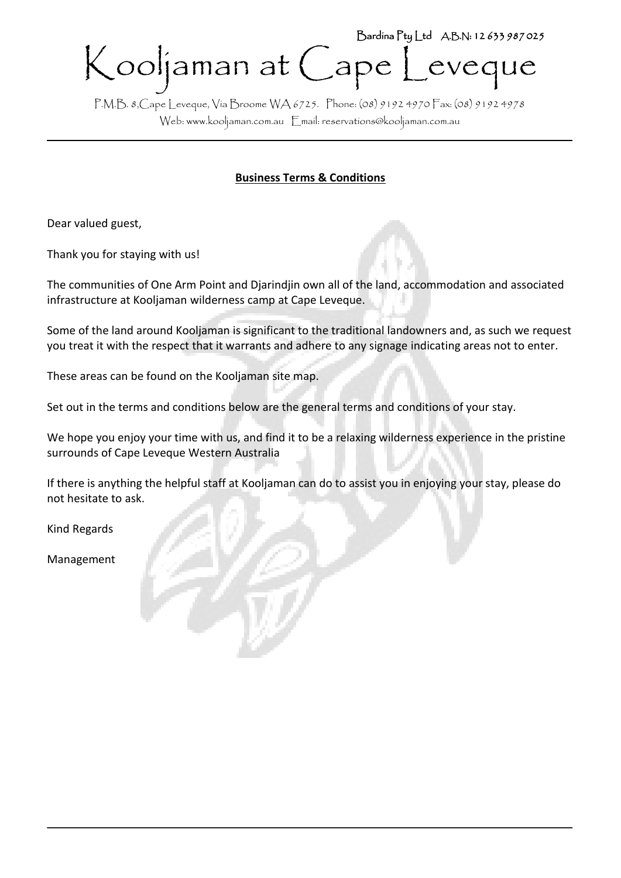# Kooljaman at Cape Leveque Bardina Pty Ltd A.B.N: 12 633 987 025

P.M.B. 8,Cape Leveque, Via Broome WA 6725. Phone: (08) 9192 4970 Fax: (08) 9192 4978 Web[: www.kooljaman.com.au](http://www.kooljaman.com.au/) Email: reservations@kooljaman.com.au

# **Business Terms & Conditions**

Dear valued guest,

Thank you for staying with us!

The communities of One Arm Point and Djarindjin own all of the land, accommodation and associated infrastructure at Kooljaman wilderness camp at Cape Leveque.

Some of the land around Kooljaman is significant to the traditional landowners and, as such we request you treat it with the respect that it warrants and adhere to any signage indicating areas not to enter.

These areas can be found on the Kooljaman site map.

Set out in the terms and conditions below are the general terms and conditions of your stay.

We hope you enjoy your time with us, and find it to be a relaxing wilderness experience in the pristine surrounds of Cape Leveque Western Australia

If there is anything the helpful staff at Kooljaman can do to assist you in enjoying your stay, please do not hesitate to ask.

Kind Regards

Management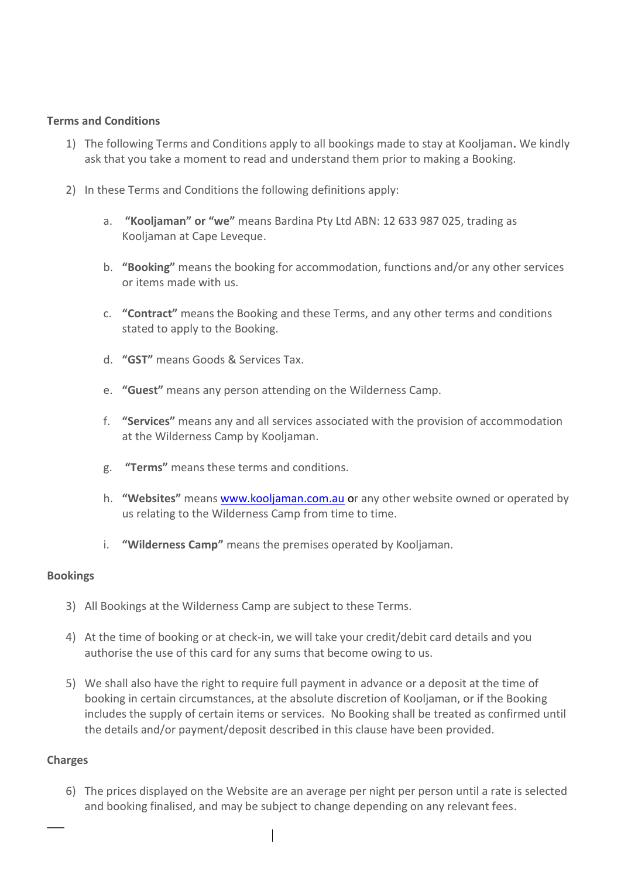#### **Terms and Conditions**

- 1) The following Terms and Conditions apply to all bookings made to stay at Kooljaman**.** We kindly ask that you take a moment to read and understand them prior to making a Booking.
- 2) In these Terms and Conditions the following definitions apply:
	- a. **"Kooljaman" or "we"** means Bardina Pty Ltd ABN: 12 633 987 025, trading as Kooljaman at Cape Leveque.
	- b. **"Booking"** means the booking for accommodation, functions and/or any other services or items made with us.
	- c. **"Contract"** means the Booking and these Terms, and any other terms and conditions stated to apply to the Booking.
	- d. **"GST"** means Goods & Services Tax.
	- e. **"Guest"** means any person attending on the Wilderness Camp.
	- f. **"Services"** means any and all services associated with the provision of accommodation at the Wilderness Camp by Kooljaman.
	- g. **"Terms"** means these terms and conditions.
	- h. **"Websites"** means [www.kooljaman.com.au](http://www.kooljaman.com.au/) or any other website owned or operated by us relating to the Wilderness Camp from time to time.
	- i. **"Wilderness Camp"** means the premises operated by Kooljaman.

#### **Bookings**

- 3) All Bookings at the Wilderness Camp are subject to these Terms.
- 4) At the time of booking or at check-in, we will take your credit/debit card details and you authorise the use of this card for any sums that become owing to us.
- 5) We shall also have the right to require full payment in advance or a deposit at the time of booking in certain circumstances, at the absolute discretion of Kooljaman, or if the Booking includes the supply of certain items or services. No Booking shall be treated as confirmed until the details and/or payment/deposit described in this clause have been provided.

# **Charges**

6) The prices displayed on the Website are an average per night per person until a rate is selected and booking finalised, and may be subject to change depending on any relevant fees.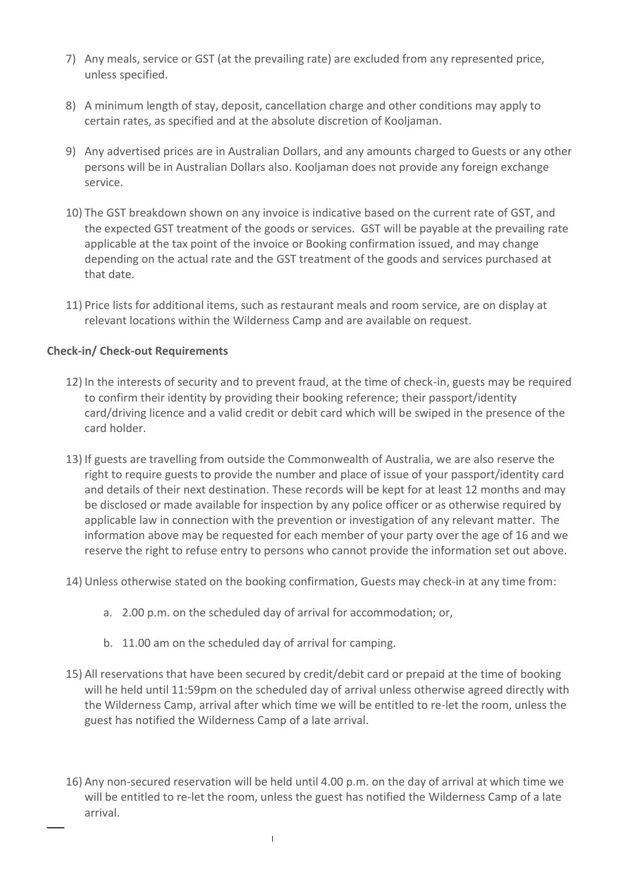- 7) Any meals, service or GST (at the prevailing rate) are excluded from any represented price, unless specified.
- 8) A minimum length of stay, deposit, cancellation charge and other conditions may apply to certain rates, as specified and at the absolute discretion of Kooljaman.
- 9) Any advertised prices are in Australian Dollars, and any amounts charged to Guests or any other persons will be in Australian Dollars also. Kooljaman does not provide any foreign exchange service.
- 10) The GST breakdown shown on any invoice is indicative based on the current rate of GST, and the expected GST treatment of the goods or services. GST will be payable at the prevailing rate applicable at the tax point of the invoice or Booking confirmation issued, and may change depending on the actual rate and the GST treatment of the goods and services purchased at that date.
- 11) Price lists for additional items, such as restaurant meals and room service, are on display at relevant locations within the Wilderness Camp and are available on request.

# **Check-in/ Check-out Requirements**

- 12) In the interests of security and to prevent fraud, at the time of check-in, guests may be required to confirm their identity by providing their booking reference; their passport/identity card/driving licence and a valid credit or debit card which will be swiped in the presence of the card holder.
- 13) If guests are travelling from outside the Commonwealth of Australia, we are also reserve the right to require guests to provide the number and place of issue of your passport/identity card and details of their next destination. These records will be kept for at least 12 months and may be disclosed or made available for inspection by any police officer or as otherwise required by applicable law in connection with the prevention or investigation of any relevant matter. The information above may be requested for each member of your party over the age of 16 and we reserve the right to refuse entry to persons who cannot provide the information set out above.
- 14) Unless otherwise stated on the booking confirmation, Guests may check-in at any time from:
	- a. 2.00 p.m. on the scheduled day of arrival for accommodation; or,
	- b. 11.00 am on the scheduled day of arrival for camping.
- 15) All reservations that have been secured by credit/debit card or prepaid at the time of booking will he held until 11:59pm on the scheduled day of arrival unless otherwise agreed directly with the Wilderness Camp, arrival after which time we will be entitled to re-let the room, unless the guest has notified the Wilderness Camp of a late arrival.
- 16) Any non-secured reservation will be held until 4.00 p.m. on the day of arrival at which time we will be entitled to re-let the room, unless the guest has notified the Wilderness Camp of a late arrival.

 $\begin{array}{c} \hline \end{array}$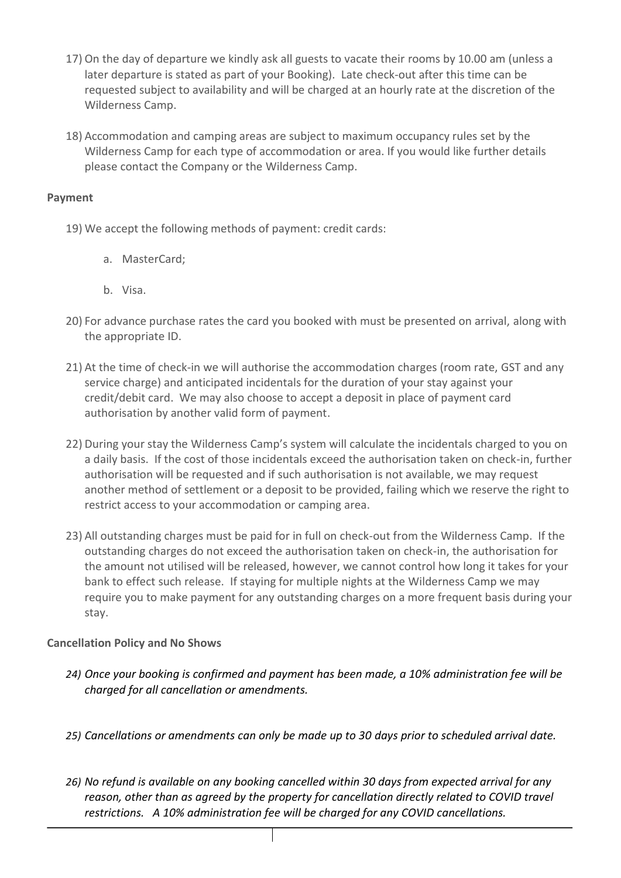- 17) On the day of departure we kindly ask all guests to vacate their rooms by 10.00 am (unless a later departure is stated as part of your Booking). Late check-out after this time can be requested subject to availability and will be charged at an hourly rate at the discretion of the Wilderness Camp.
- 18) Accommodation and camping areas are subject to maximum occupancy rules set by the Wilderness Camp for each type of accommodation or area. If you would like further details please contact the Company or the Wilderness Camp.

# **Payment**

- 19) We accept the following methods of payment: credit cards:
	- a. MasterCard;
	- b. Visa.
- 20) For advance purchase rates the card you booked with must be presented on arrival, along with the appropriate ID.
- 21) At the time of check-in we will authorise the accommodation charges (room rate, GST and any service charge) and anticipated incidentals for the duration of your stay against your credit/debit card. We may also choose to accept a deposit in place of payment card authorisation by another valid form of payment.
- 22) During your stay the Wilderness Camp's system will calculate the incidentals charged to you on a daily basis. If the cost of those incidentals exceed the authorisation taken on check-in, further authorisation will be requested and if such authorisation is not available, we may request another method of settlement or a deposit to be provided, failing which we reserve the right to restrict access to your accommodation or camping area.
- 23) All outstanding charges must be paid for in full on check-out from the Wilderness Camp. If the outstanding charges do not exceed the authorisation taken on check-in, the authorisation for the amount not utilised will be released, however, we cannot control how long it takes for your bank to effect such release. If staying for multiple nights at the Wilderness Camp we may require you to make payment for any outstanding charges on a more frequent basis during your stay.

# **Cancellation Policy and No Shows**

- *24) Once your booking is confirmed and payment has been made, a 10% administration fee will be charged for all cancellation or amendments.*
- *25) Cancellations or amendments can only be made up to 30 days prior to scheduled arrival date.*
- *26) No refund is available on any booking cancelled within 30 days from expected arrival for any*  reason, other than as agreed by the property for cancellation directly related to COVID travel *restrictions. A 10% administration fee will be charged for any COVID cancellations.*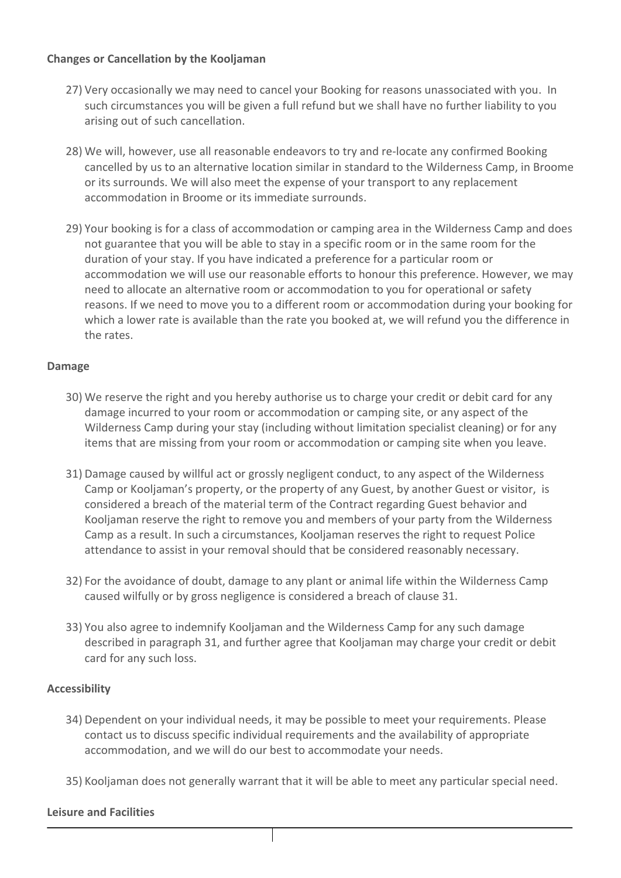#### **Changes or Cancellation by the Kooljaman**

- 27) Very occasionally we may need to cancel your Booking for reasons unassociated with you. In such circumstances you will be given a full refund but we shall have no further liability to you arising out of such cancellation.
- 28) We will, however, use all reasonable endeavors to try and re-locate any confirmed Booking cancelled by us to an alternative location similar in standard to the Wilderness Camp, in Broome or its surrounds. We will also meet the expense of your transport to any replacement accommodation in Broome or its immediate surrounds.
- 29) Your booking is for a class of accommodation or camping area in the Wilderness Camp and does not guarantee that you will be able to stay in a specific room or in the same room for the duration of your stay. If you have indicated a preference for a particular room or accommodation we will use our reasonable efforts to honour this preference. However, we may need to allocate an alternative room or accommodation to you for operational or safety reasons. If we need to move you to a different room or accommodation during your booking for which a lower rate is available than the rate you booked at, we will refund you the difference in the rates.

#### **Damage**

- 30) We reserve the right and you hereby authorise us to charge your credit or debit card for any damage incurred to your room or accommodation or camping site, or any aspect of the Wilderness Camp during your stay (including without limitation specialist cleaning) or for any items that are missing from your room or accommodation or camping site when you leave.
- 31) Damage caused by willful act or grossly negligent conduct, to any aspect of the Wilderness Camp or Kooljaman's property, or the property of any Guest, by another Guest or visitor, is considered a breach of the material term of the Contract regarding Guest behavior and Kooljaman reserve the right to remove you and members of your party from the Wilderness Camp as a result. In such a circumstances, Kooljaman reserves the right to request Police attendance to assist in your removal should that be considered reasonably necessary.
- 32) For the avoidance of doubt, damage to any plant or animal life within the Wilderness Camp caused wilfully or by gross negligence is considered a breach of clause 31.
- 33) You also agree to indemnify Kooljaman and the Wilderness Camp for any such damage described in paragraph 31, and further agree that Kooljaman may charge your credit or debit card for any such loss.

# **Accessibility**

- 34) Dependent on your individual needs, it may be possible to meet your requirements. Please contact us to discuss specific individual requirements and the availability of appropriate accommodation, and we will do our best to accommodate your needs.
- 35) Kooljaman does not generally warrant that it will be able to meet any particular special need.

#### **Leisure and Facilities**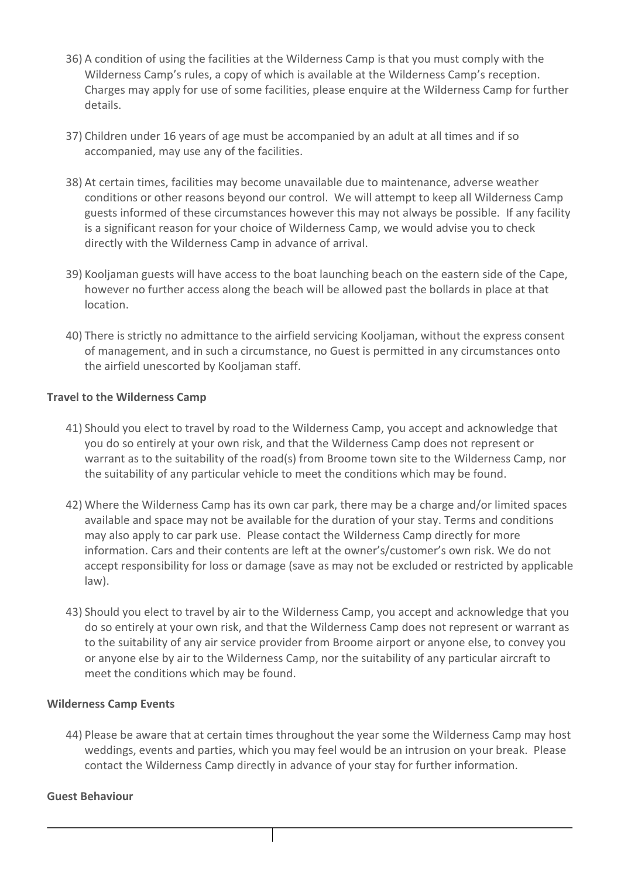- 36) A condition of using the facilities at the Wilderness Camp is that you must comply with the Wilderness Camp's rules, a copy of which is available at the Wilderness Camp's reception. Charges may apply for use of some facilities, please enquire at the Wilderness Camp for further details.
- 37) Children under 16 years of age must be accompanied by an adult at all times and if so accompanied, may use any of the facilities.
- 38) At certain times, facilities may become unavailable due to maintenance, adverse weather conditions or other reasons beyond our control. We will attempt to keep all Wilderness Camp guests informed of these circumstances however this may not always be possible. If any facility is a significant reason for your choice of Wilderness Camp, we would advise you to check directly with the Wilderness Camp in advance of arrival.
- 39) Kooljaman guests will have access to the boat launching beach on the eastern side of the Cape, however no further access along the beach will be allowed past the bollards in place at that location.
- 40) There is strictly no admittance to the airfield servicing Kooljaman, without the express consent of management, and in such a circumstance, no Guest is permitted in any circumstances onto the airfield unescorted by Kooljaman staff.

#### **Travel to the Wilderness Camp**

- 41) Should you elect to travel by road to the Wilderness Camp, you accept and acknowledge that you do so entirely at your own risk, and that the Wilderness Camp does not represent or warrant as to the suitability of the road(s) from Broome town site to the Wilderness Camp, nor the suitability of any particular vehicle to meet the conditions which may be found.
- 42) Where the Wilderness Camp has its own car park, there may be a charge and/or limited spaces available and space may not be available for the duration of your stay. Terms and conditions may also apply to car park use. Please contact the Wilderness Camp directly for more information. Cars and their contents are left at the owner's/customer's own risk. We do not accept responsibility for loss or damage (save as may not be excluded or restricted by applicable law).
- 43) Should you elect to travel by air to the Wilderness Camp, you accept and acknowledge that you do so entirely at your own risk, and that the Wilderness Camp does not represent or warrant as to the suitability of any air service provider from Broome airport or anyone else, to convey you or anyone else by air to the Wilderness Camp, nor the suitability of any particular aircraft to meet the conditions which may be found.

#### **Wilderness Camp Events**

44) Please be aware that at certain times throughout the year some the Wilderness Camp may host weddings, events and parties, which you may feel would be an intrusion on your break. Please contact the Wilderness Camp directly in advance of your stay for further information.

#### **Guest Behaviour**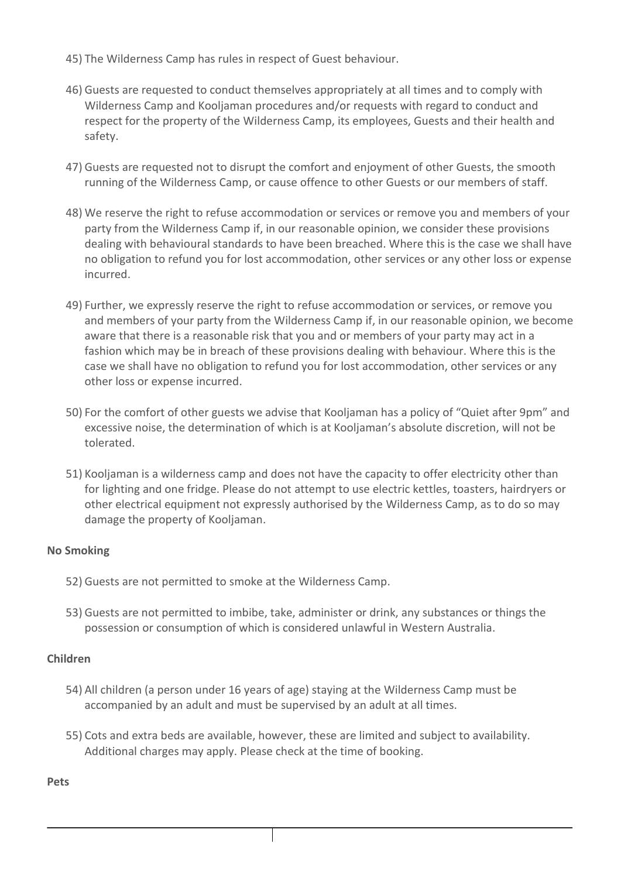- 45) The Wilderness Camp has rules in respect of Guest behaviour.
- 46) Guests are requested to conduct themselves appropriately at all times and to comply with Wilderness Camp and Kooljaman procedures and/or requests with regard to conduct and respect for the property of the Wilderness Camp, its employees, Guests and their health and safety.
- 47) Guests are requested not to disrupt the comfort and enjoyment of other Guests, the smooth running of the Wilderness Camp, or cause offence to other Guests or our members of staff.
- 48) We reserve the right to refuse accommodation or services or remove you and members of your party from the Wilderness Camp if, in our reasonable opinion, we consider these provisions dealing with behavioural standards to have been breached. Where this is the case we shall have no obligation to refund you for lost accommodation, other services or any other loss or expense incurred.
- 49) Further, we expressly reserve the right to refuse accommodation or services, or remove you and members of your party from the Wilderness Camp if, in our reasonable opinion, we become aware that there is a reasonable risk that you and or members of your party may act in a fashion which may be in breach of these provisions dealing with behaviour. Where this is the case we shall have no obligation to refund you for lost accommodation, other services or any other loss or expense incurred.
- 50) For the comfort of other guests we advise that Kooljaman has a policy of "Quiet after 9pm" and excessive noise, the determination of which is at Kooljaman's absolute discretion, will not be tolerated.
- 51) Kooljaman is a wilderness camp and does not have the capacity to offer electricity other than for lighting and one fridge. Please do not attempt to use electric kettles, toasters, hairdryers or other electrical equipment not expressly authorised by the Wilderness Camp, as to do so may damage the property of Kooljaman.

# **No Smoking**

- 52) Guests are not permitted to smoke at the Wilderness Camp.
- 53) Guests are not permitted to imbibe, take, administer or drink, any substances or things the possession or consumption of which is considered unlawful in Western Australia.

#### **Children**

- 54) All children (a person under 16 years of age) staying at the Wilderness Camp must be accompanied by an adult and must be supervised by an adult at all times.
- 55) Cots and extra beds are available, however, these are limited and subject to availability. Additional charges may apply. Please check at the time of booking.

**Pets**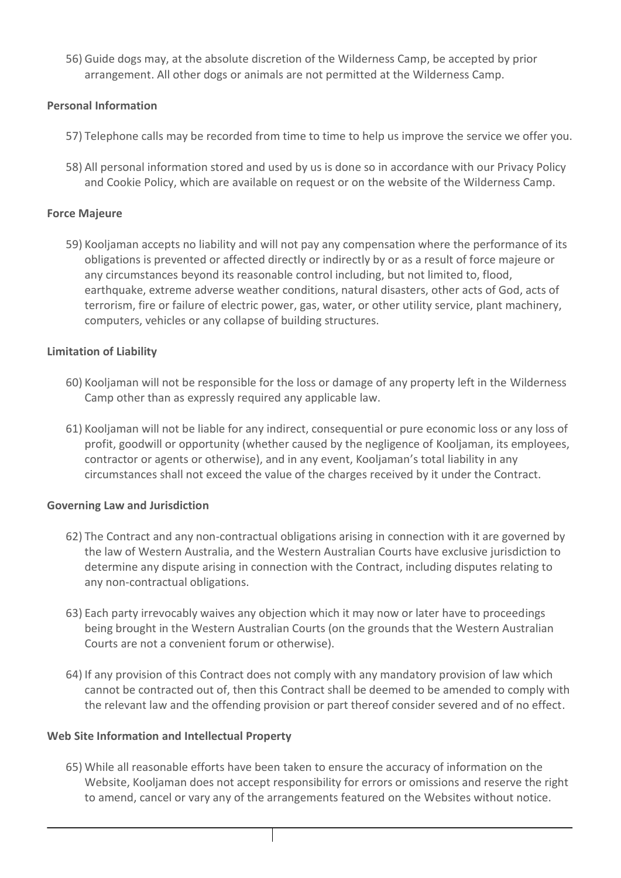56) Guide dogs may, at the absolute discretion of the Wilderness Camp, be accepted by prior arrangement. All other dogs or animals are not permitted at the Wilderness Camp.

# **Personal Information**

- 57) Telephone calls may be recorded from time to time to help us improve the service we offer you.
- 58) All personal information stored and used by us is done so in accordance with our Privacy Policy and Cookie Policy, which are available on request or on the website of the Wilderness Camp.

# **Force Majeure**

59) Kooljaman accepts no liability and will not pay any compensation where the performance of its obligations is prevented or affected directly or indirectly by or as a result of force majeure or any circumstances beyond its reasonable control including, but not limited to, flood, earthquake, extreme adverse weather conditions, natural disasters, other acts of God, acts of terrorism, fire or failure of electric power, gas, water, or other utility service, plant machinery, computers, vehicles or any collapse of building structures.

# **Limitation of Liability**

- 60) Kooljaman will not be responsible for the loss or damage of any property left in the Wilderness Camp other than as expressly required any applicable law.
- 61) Kooljaman will not be liable for any indirect, consequential or pure economic loss or any loss of profit, goodwill or opportunity (whether caused by the negligence of Kooljaman, its employees, contractor or agents or otherwise), and in any event, Kooljaman's total liability in any circumstances shall not exceed the value of the charges received by it under the Contract.

# **Governing Law and Jurisdiction**

- 62) The Contract and any non-contractual obligations arising in connection with it are governed by the law of Western Australia, and the Western Australian Courts have exclusive jurisdiction to determine any dispute arising in connection with the Contract, including disputes relating to any non-contractual obligations.
- 63) Each party irrevocably waives any objection which it may now or later have to proceedings being brought in the Western Australian Courts (on the grounds that the Western Australian Courts are not a convenient forum or otherwise).
- 64) If any provision of this Contract does not comply with any mandatory provision of law which cannot be contracted out of, then this Contract shall be deemed to be amended to comply with the relevant law and the offending provision or part thereof consider severed and of no effect.

# **Web Site Information and Intellectual Property**

65) While all reasonable efforts have been taken to ensure the accuracy of information on the Website, Kooljaman does not accept responsibility for errors or omissions and reserve the right to amend, cancel or vary any of the arrangements featured on the Websites without notice.